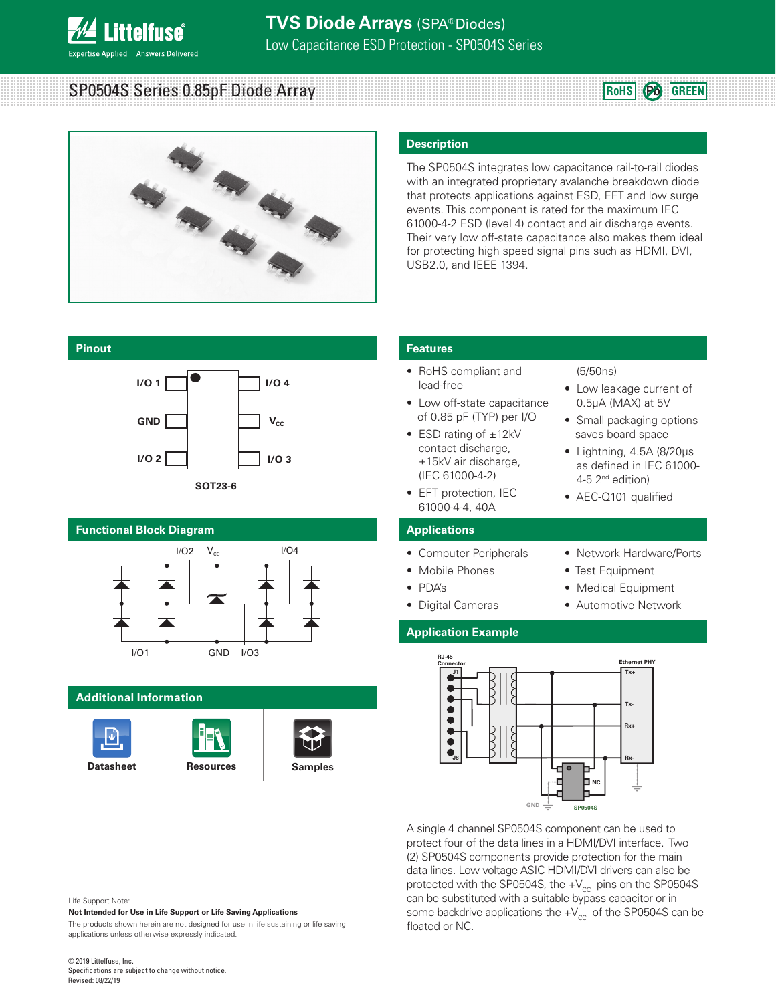

#### **TVS Diode Arrays** (SPA® Diodes) Low Capacitance ESD Protection - SP0504S Series

SP0504S Series 0.85pF Diode Array



#### **Description**

The SP0504S integrates low capacitance rail-to-rail diodes with an integrated proprietary avalanche breakdown diode that protects applications against ESD, EFT and low surge events. This component is rated for the maximum IEC 61000-4-2 ESD (level 4) contact and air discharge events. Their very low off-state capacitance also makes them ideal for protecting high speed signal pins such as HDMI, DVI, USB2.0, and IEEE 1394.

#### **Pinout**



#### **Functional Block Diagram**



#### **Additional Information**







#### **Features**

- RoHS compliant and lead-free
- Low off-state capacitance of 0.85 pF (TYP) per I/O
- ESD rating of ±12kV contact discharge. ±15kV air discharge, (IEC 61000-4-2)
- EFT protection, IEC 61000-4-4, 40A

#### **Applications**

- Computer Peripherals
- Mobile Phones
- PDA's
- Digital Cameras

#### **Application Example**

• Network Hardware/Ports • Test Equipment

4-5 2nd edition) • AEC-Q101 qualified

(5/50ns)

• Low leakage current of 0.5μA (MAX) at 5V • Small packaging options saves board space • Lightning, 4.5A (8/20μs as defined in IEC 61000-

**RoHS Pb GREEN**

- Medical Equipment
- Automotive Network



A single 4 channel SP0504S component can be used to protect four of the data lines in a HDMI/DVI interface. Two (2) SP0504S components provide protection for the main data lines. Low voltage ASIC HDMI/DVI drivers can also be protected with the SP0504S, the  $+V_{cc}$  pins on the SP0504S can be substituted with a suitable bypass capacitor or in some backdrive applications the  $+V_{cc}$  of the SP0504S can be floated or NC.

#### Life Support Note:

**Not Intended for Use in Life Support or Life Saving Applications**

The products shown herein are not designed for use in life sustaining or life saving applications unless otherwise expressly indicated.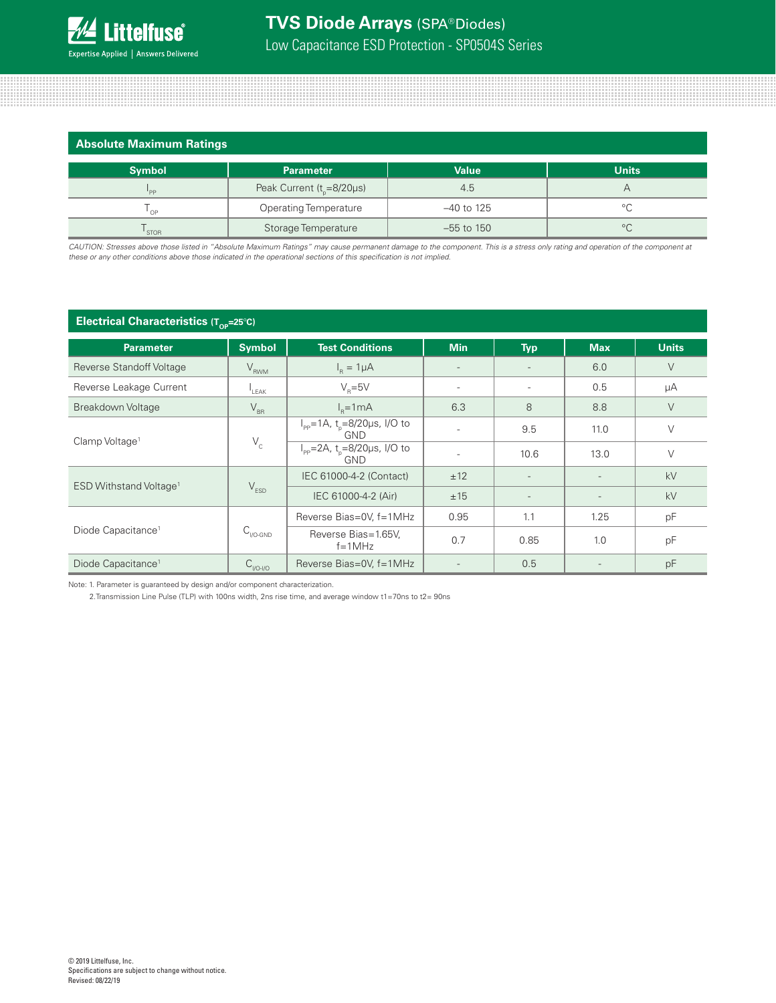

| Absolute Maximum Ratings   |                                       |              |              |
|----------------------------|---------------------------------------|--------------|--------------|
| <b>Symbol</b>              | <b>Parameter</b>                      | <b>Value</b> | <b>Units</b> |
| $P_{PP}$                   | Peak Current ( $t_{p}$ =8/20 $\mu$ s) | 4.5          | А            |
| $\mathsf{I}_{\mathsf{OP}}$ | <b>Operating Temperature</b>          | $-40$ to 125 | °C           |
| <b>STOR</b>                | Storage Temperature                   | $-55$ to 150 | $^{\circ}C$  |

*CAUTION: Stresses above those listed in "Absolute Maximum Ratings" may cause permanent damage to the component. This is a stress only rating and operation of the component at these or any other conditions above those indicated in the operational sections of this specification is not implied.*

#### **Electrical Characteristics (Top-25°C)**

| <u>v.</u>                          |                          |                                                                             |            |            |                          |              |
|------------------------------------|--------------------------|-----------------------------------------------------------------------------|------------|------------|--------------------------|--------------|
| <b>Parameter</b>                   | <b>Symbol</b>            | <b>Test Conditions</b>                                                      | <b>Min</b> | <b>Typ</b> | <b>Max</b>               | <b>Units</b> |
| <b>Reverse Standoff Voltage</b>    | $V_{RWM}$                | $I_R = 1 \mu A$                                                             |            |            | 6.0                      | V            |
| Reverse Leakage Current            | $L$ EAK                  | $V_{\rm B} = 5V$                                                            |            |            | 0.5                      | μA           |
| Breakdown Voltage                  | $\rm V_{_{BR}}$          | $Ie=1mA$                                                                    | 6.3        | 8          | 8.8                      | V            |
| Clamp Voltage <sup>1</sup>         |                          | $I_{\text{pp}} = 1 \text{A}$ , t <sub>n</sub> =8/20µs, I/O to<br><b>GND</b> |            | 9.5        | 11.0                     | $\vee$       |
|                                    | $V_c$                    | $I_{\rm pp}$ =2A, t <sub>n</sub> =8/20µs, I/O to<br><b>GND</b>              |            | 10.6       | 13.0                     | $\vee$       |
| ESD Withstand Voltage <sup>1</sup> |                          | IEC 61000-4-2 (Contact)                                                     | ±12        |            | $\overline{\phantom{a}}$ | kV           |
|                                    | $V_{ESD}$                | IEC 61000-4-2 (Air)                                                         | ±15        |            | $\overline{\phantom{a}}$ | kV           |
|                                    |                          | Reverse Bias=0V, f=1MHz                                                     | 0.95       | 1.1        | 1.25                     | pF           |
| Diode Capacitance <sup>1</sup>     | $C_{\rm I/O\text{-}GND}$ | Reverse Bias=1.65V,<br>$f = 1MHz$                                           | 0.7        | 0.85       | 1.0                      | pF           |
| Diode Capacitance <sup>1</sup>     | $C_{VO- VO}$             | Reverse Bias=0V, f=1MHz                                                     |            | 0.5        |                          | pF           |

Note: 1. Parameter is guaranteed by design and/or component characterization.

2.Transmission Line Pulse (TLP) with 100ns width, 2ns rise time, and average window t1=70ns to t2= 90ns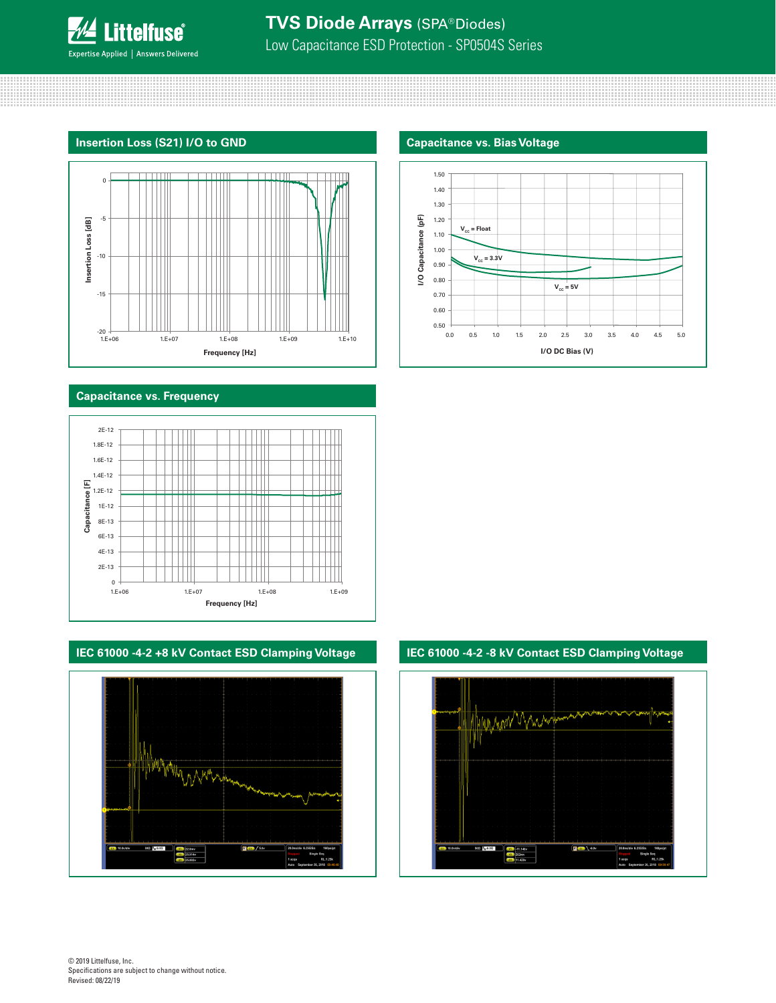

### **TVS Diode Arrays** (SPA® Diodes) Low Capacitance ESD Protection - SP0504S Series

#### **Insertion Loss (S21) I/O to GND Capacitance vs. Bias Voltage**



#### **Capacitance vs. Frequency**



#### **IEC 61000 -4-2 +8 kV Contact ESD Clamping Voltage IEC 61000 -4-2 -8 kV Contact ESD Clamping Voltage**





# HUMMAN VMAN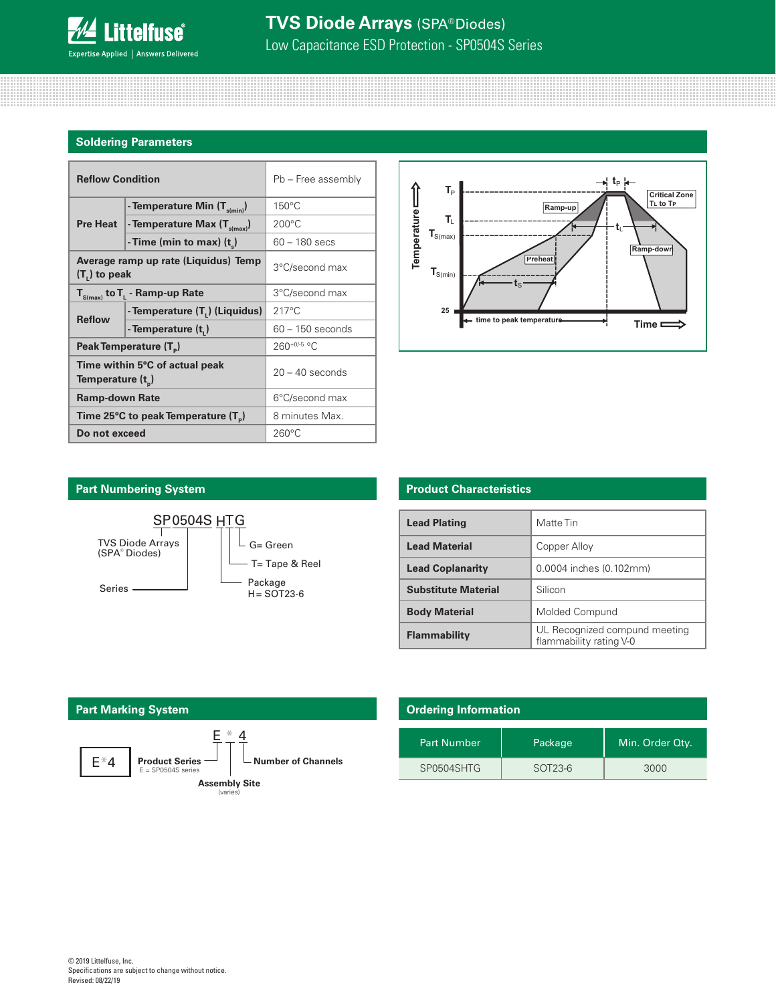

#### **Soldering Parameters**

| <b>Reflow Condition</b>                                 |                                            | Pb - Free assembly |  |
|---------------------------------------------------------|--------------------------------------------|--------------------|--|
|                                                         | - Temperature Min (T <sub>s(min)</sub> )   | $150^{\circ}$ C    |  |
| <b>Pre Heat</b>                                         | - Temperature Max (T <sub>s(max)</sub> )   | $200^{\circ}$ C    |  |
|                                                         | - Time (min to max) (t)                    | $60 - 180$ secs    |  |
| Average ramp up rate (Liquidus) Temp<br>$(T1)$ to peak  |                                            | 3°C/second max     |  |
| $T_{S(max)}$ to $T_{L}$ - Ramp-up Rate                  |                                            | 3°C/second max     |  |
| <b>Reflow</b>                                           | - Temperature (T <sub>1</sub> ) (Liquidus) | $217^{\circ}$ C    |  |
|                                                         | - Temperature (t,)                         | $60 - 150$ seconds |  |
| Peak Temperature (T <sub>a</sub> )                      |                                            | $260+0/5$ °C       |  |
| Time within 5°C of actual peak<br>Temperature $(t_{n})$ |                                            | $20 - 40$ seconds  |  |
| <b>Ramp-down Rate</b>                                   |                                            | 6°C/second max     |  |
| Time 25°C to peak Temperature $(T_{\circ})$             |                                            | 8 minutes Max.     |  |
| Do not exceed                                           |                                            | $260^{\circ}$ C    |  |



#### **Part Numbering System**



#### **Product Characteristics**

| <b>Lead Plating</b>        | Matte Tin                                                |  |
|----------------------------|----------------------------------------------------------|--|
| <b>Lead Material</b>       | Copper Alloy                                             |  |
| <b>Lead Coplanarity</b>    | 0.0004 inches (0.102mm)                                  |  |
| <b>Substitute Material</b> | Silicon                                                  |  |
| <b>Body Material</b>       | Molded Compund                                           |  |
| Flammability               | UL Recognized compund meeting<br>flammability rating V-0 |  |



| <b>Ordering Information</b> |          |                 |  |  |  |
|-----------------------------|----------|-----------------|--|--|--|
| <b>Part Number</b>          | Package, | Min. Order Qty. |  |  |  |
| SP0504SHTG                  | SOT23-6  | 3000            |  |  |  |